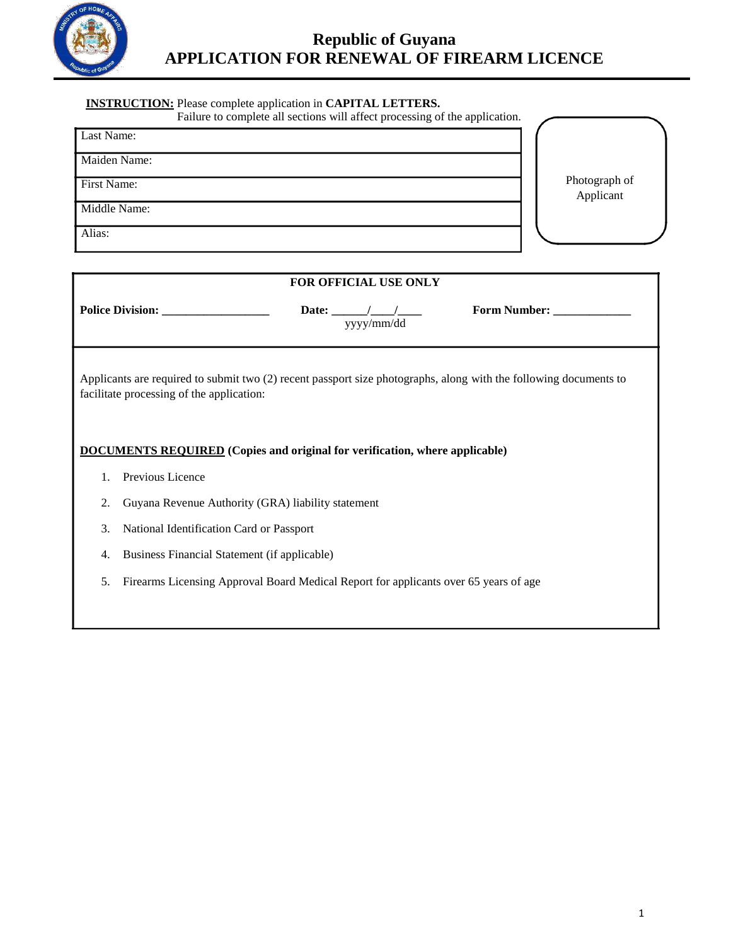

## **INSTRUCTION:** Please complete application in **CAPITAL LETTERS.**

| Failure to complete all sections will affect processing of the application. |  |  |  |  |
|-----------------------------------------------------------------------------|--|--|--|--|

| Last Name:   |  |                            |
|--------------|--|----------------------------|
| Maiden Name: |  |                            |
| First Name:  |  | Photograph of<br>Applicant |
| Middle Name: |  |                            |
| Alias:       |  |                            |

| FOR OFFICIAL USE ONLY                                                                                                                                          |                                                                                      |  |  |  |  |  |  |  |
|----------------------------------------------------------------------------------------------------------------------------------------------------------------|--------------------------------------------------------------------------------------|--|--|--|--|--|--|--|
| Form Number: _________<br>yyyy/mm/dd                                                                                                                           |                                                                                      |  |  |  |  |  |  |  |
| Applicants are required to submit two (2) recent passport size photographs, along with the following documents to<br>facilitate processing of the application: |                                                                                      |  |  |  |  |  |  |  |
| <b>DOCUMENTS REQUIRED</b> (Copies and original for verification, where applicable)                                                                             |                                                                                      |  |  |  |  |  |  |  |
|                                                                                                                                                                | Previous Licence                                                                     |  |  |  |  |  |  |  |
| 2.                                                                                                                                                             | Guyana Revenue Authority (GRA) liability statement                                   |  |  |  |  |  |  |  |
| 3.                                                                                                                                                             | National Identification Card or Passport                                             |  |  |  |  |  |  |  |
| 4.                                                                                                                                                             | Business Financial Statement (if applicable)                                         |  |  |  |  |  |  |  |
| 5.                                                                                                                                                             | Firearms Licensing Approval Board Medical Report for applicants over 65 years of age |  |  |  |  |  |  |  |
|                                                                                                                                                                |                                                                                      |  |  |  |  |  |  |  |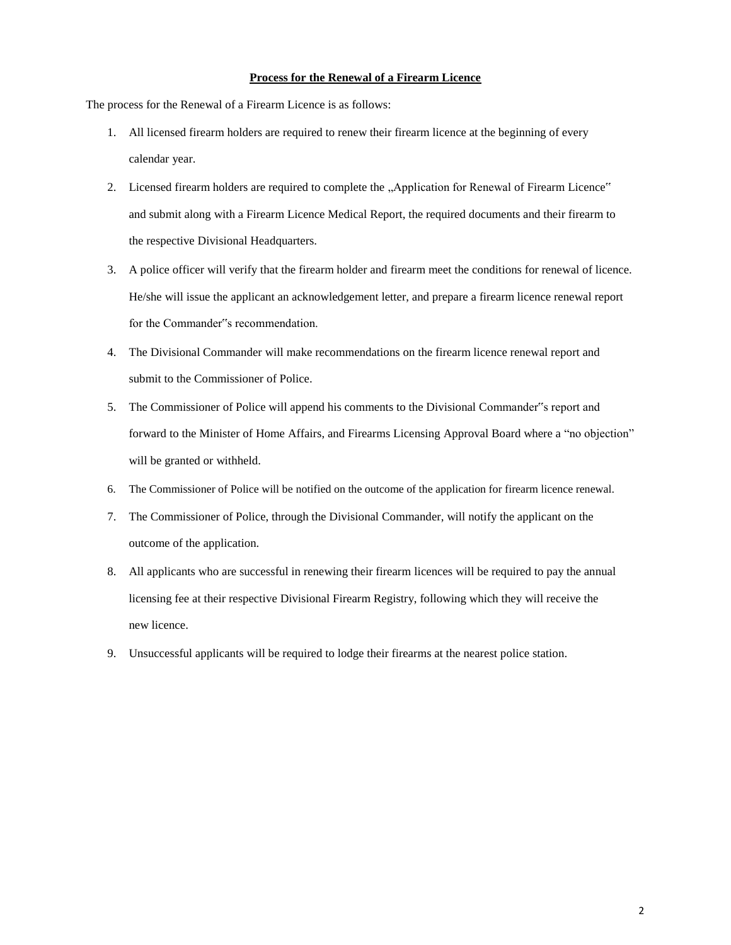## **Process for the Renewal of a Firearm Licence**

The process for the Renewal of a Firearm Licence is as follows:

- 1. All licensed firearm holders are required to renew their firearm licence at the beginning of every calendar year.
- 2. Licensed firearm holders are required to complete the "Application for Renewal of Firearm Licence" and submit along with a Firearm Licence Medical Report, the required documents and their firearm to the respective Divisional Headquarters.
- 3. A police officer will verify that the firearm holder and firearm meet the conditions for renewal of licence. He/she will issue the applicant an acknowledgement letter, and prepare a firearm licence renewal report for the Commander"s recommendation.
- 4. The Divisional Commander will make recommendations on the firearm licence renewal report and submit to the Commissioner of Police.
- 5. The Commissioner of Police will append his comments to the Divisional Commander"s report and forward to the Minister of Home Affairs, and Firearms Licensing Approval Board where a "no objection" will be granted or withheld.
- 6. The Commissioner of Police will be notified on the outcome of the application for firearm licence renewal.
- 7. The Commissioner of Police, through the Divisional Commander, will notify the applicant on the outcome of the application.
- 8. All applicants who are successful in renewing their firearm licences will be required to pay the annual licensing fee at their respective Divisional Firearm Registry, following which they will receive the new licence.
- 9. Unsuccessful applicants will be required to lodge their firearms at the nearest police station.